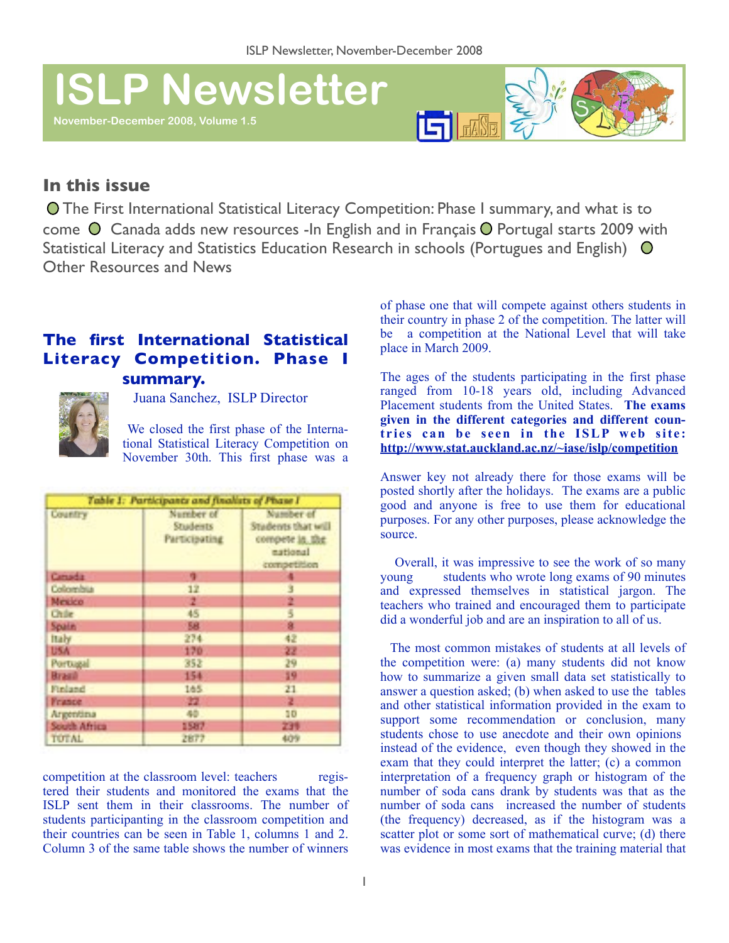# **ISLP Newsletter**

**November-December 2008, Volume 1.5** 



## **In this issue**

 The First International Statistical Literacy Competition: Phase I summary, and what is to come  $\odot$  Canada adds new resources -In English and in Français  $\odot$  Portugal starts 2009 with Statistical Literacy and Statistics Education Research in schools (Portugues and English) O Other Resources and News

# **The first International Statistical Literacy Competition. Phase I**



**summary.** 

Juana Sanchez, ISLP Director

 We closed the first phase of the International Statistical Literacy Competition on November 30th. This first phase was a

| Table 1: Participants and finalists of Phase I |                                               |                                                                              |
|------------------------------------------------|-----------------------------------------------|------------------------------------------------------------------------------|
| Country                                        | Number of<br>Students<br><b>Participating</b> | Number of<br>Students that will<br>compete in the<br>mational<br>competition |
| <b>Canada</b>                                  | ۰                                             |                                                                              |
| Colombia                                       | 12                                            |                                                                              |
| Mexico                                         | z                                             |                                                                              |
| <b>Chile</b>                                   | 45                                            |                                                                              |
| Spain                                          | 58                                            |                                                                              |
| <b>Italy</b>                                   | 274                                           | 42                                                                           |
| USA:                                           | 170                                           | 22                                                                           |
| Portugal                                       | 352                                           | 29                                                                           |
| <b>Brasil</b>                                  | 154                                           | 19                                                                           |
| Finland                                        | 165.                                          | 21                                                                           |
| <b>France</b>                                  | 22                                            | z                                                                            |
| Argentina                                      | 40                                            | 10                                                                           |
| South Africa                                   | 1587                                          | 239                                                                          |
| <b>TOTAL</b>                                   | 2877                                          | 409                                                                          |

competition at the classroom level: teachers registered their students and monitored the exams that the ISLP sent them in their classrooms. The number of students participanting in the classroom competition and their countries can be seen in Table 1, columns 1 and 2. Column 3 of the same table shows the number of winners of phase one that will compete against others students in their country in phase 2 of the competition. The latter will be a competition at the National Level that will take place in March 2009.

The ages of the students participating in the first phase ranged from 10-18 years old, including Advanced Placement students from the United States. **The exams given in the different categories and different coun**tries can be seen in the ISLP web site: **<http://www.stat.auckland.ac.nz/~iase/islp/competition>**

Answer key not already there for those exams will be posted shortly after the holidays. The exams are a public good and anyone is free to use them for educational purposes. For any other purposes, please acknowledge the source.

 Overall, it was impressive to see the work of so many young students who wrote long exams of 90 minutes and expressed themselves in statistical jargon. The teachers who trained and encouraged them to participate did a wonderful job and are an inspiration to all of us.

 The most common mistakes of students at all levels of the competition were: (a) many students did not know how to summarize a given small data set statistically to answer a question asked; (b) when asked to use the tables and other statistical information provided in the exam to support some recommendation or conclusion, many students chose to use anecdote and their own opinions instead of the evidence, even though they showed in the exam that they could interpret the latter; (c) a common interpretation of a frequency graph or histogram of the number of soda cans drank by students was that as the number of soda cans increased the number of students (the frequency) decreased, as if the histogram was a scatter plot or some sort of mathematical curve; (d) there was evidence in most exams that the training material that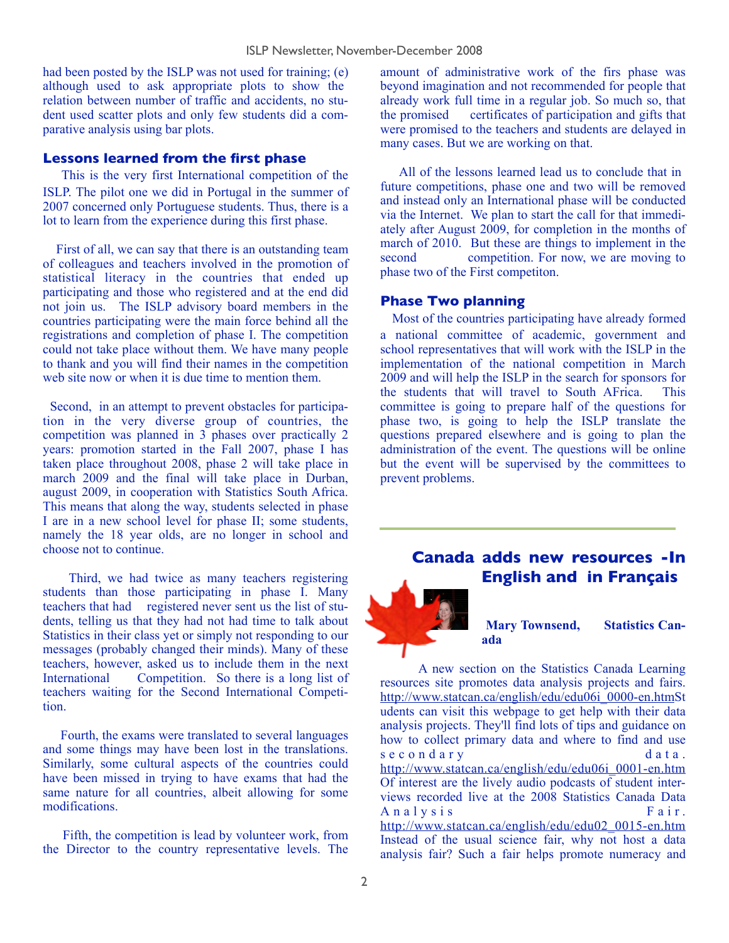had been posted by the ISLP was not used for training; (e) although used to ask appropriate plots to show the relation between number of traffic and accidents, no student used scatter plots and only few students did a comparative analysis using bar plots.

#### **Lessons learned from the first phase**

 This is the very first International competition of the ISLP. The pilot one we did in Portugal in the summer of 2007 concerned only Portuguese students. Thus, there is a lot to learn from the experience during this first phase.

 First of all, we can say that there is an outstanding team of colleagues and teachers involved in the promotion of statistical literacy in the countries that ended up participating and those who registered and at the end did not join us. The ISLP advisory board members in the countries participating were the main force behind all the registrations and completion of phase I. The competition could not take place without them. We have many people to thank and you will find their names in the competition web site now or when it is due time to mention them.

 Second, in an attempt to prevent obstacles for participation in the very diverse group of countries, the competition was planned in 3 phases over practically 2 years: promotion started in the Fall 2007, phase I has taken place throughout 2008, phase 2 will take place in march 2009 and the final will take place in Durban, august 2009, in cooperation with Statistics South Africa. This means that along the way, students selected in phase I are in a new school level for phase II; some students, namely the 18 year olds, are no longer in school and choose not to continue.

 Third, we had twice as many teachers registering students than those participating in phase I. Many teachers that had registered never sent us the list of students, telling us that they had not had time to talk about Statistics in their class yet or simply not responding to our messages (probably changed their minds). Many of these teachers, however, asked us to include them in the next International Competition. So there is a long list of teachers waiting for the Second International Competition.

 Fourth, the exams were translated to several languages and some things may have been lost in the translations. Similarly, some cultural aspects of the countries could have been missed in trying to have exams that had the same nature for all countries, albeit allowing for some modifications.

 Fifth, the competition is lead by volunteer work, from the Director to the country representative levels. The

amount of administrative work of the firs phase was beyond imagination and not recommended for people that already work full time in a regular job. So much so, that the promised certificates of participation and gifts that were promised to the teachers and students are delayed in many cases. But we are working on that.

 All of the lessons learned lead us to conclude that in future competitions, phase one and two will be removed and instead only an International phase will be conducted via the Internet. We plan to start the call for that immediately after August 2009, for completion in the months of march of 2010. But these are things to implement in the second competition. For now, we are moving to phase two of the First competiton.

#### **Phase Two planning**

 Most of the countries participating have already formed a national committee of academic, government and school representatives that will work with the ISLP in the implementation of the national competition in March 2009 and will help the ISLP in the search for sponsors for the students that will travel to South AFrica. This committee is going to prepare half of the questions for phase two, is going to help the ISLP translate the questions prepared elsewhere and is going to plan the administration of the event. The questions will be online but the event will be supervised by the committees to prevent problems.

### **Canada adds new resources -In English and in Français**

**Mary Townsend, Statistics Canada** 

A new section on the Statistics Canada Learning resources site promotes data analysis projects and fairs. [http://www.statcan.ca/english/edu/edu06i\\_0000-en.htmS](http://www.statcan.ca/english/edu/edu06i_0000-en.htm)t udents can visit this webpage to get help with their data analysis projects. They'll find lots of tips and guidance on how to collect primary data and where to find and use s e c o n d a r y d a t a . [http://www.statcan.ca/english/edu/edu06i\\_0001-en.htm](http://www.statcan.ca/english/edu/edu06i_0001-en.htm) Of interest are the lively audio podcasts of student interviews recorded live at the 2008 Statistics Canada Data  $A$  n a  $l$  v s i s  $F$  a i r . [http://www.statcan.ca/english/edu/edu02\\_0015-en.htm](http://www.statcan.ca/english/edu/edu02_0015-en.htm) Instead of the usual science fair, why not host a data analysis fair? Such a fair helps promote numeracy and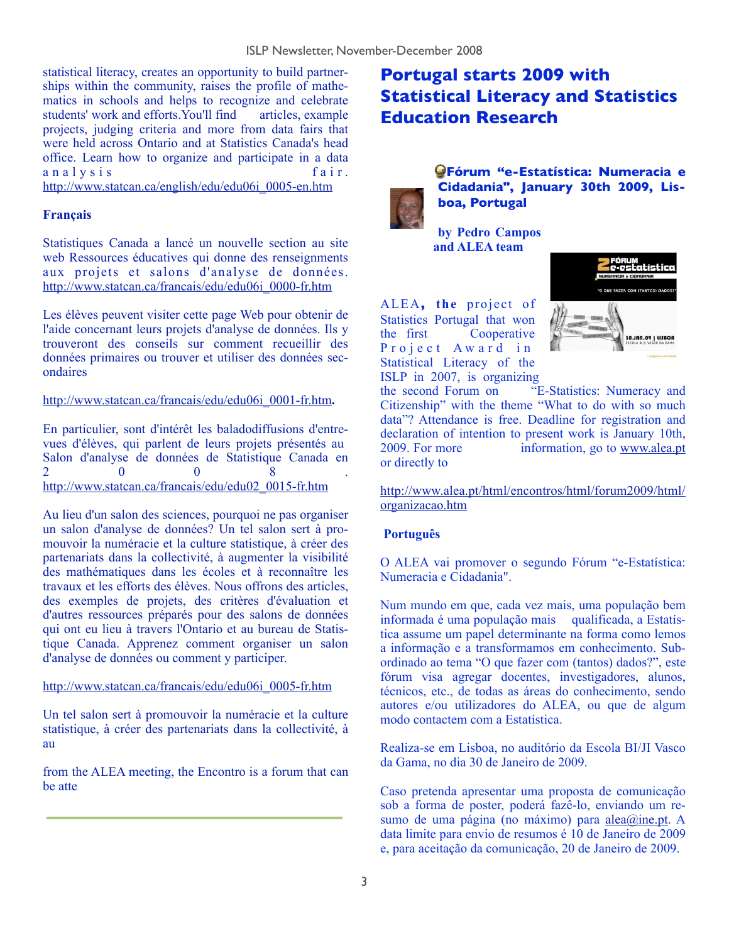statistical literacy, creates an opportunity to build partnerships within the community, raises the profile of mathematics in schools and helps to recognize and celebrate students' work and efforts. You'll find  $aricles$ , example projects, judging criteria and more from data fairs that were held across Ontario and at Statistics Canada's head office. Learn how to organize and participate in a data a n a l y s i s f a i r .

[http://www.statcan.ca/english/edu/edu06i\\_0005-en.htm](http://www.statcan.ca/english/edu/edu06i_0005-en.htm)

#### **Français**

Statistiques Canada a lancé un nouvelle section au site web Ressources éducatives qui donne des renseignments aux projets et salons d'analyse de données. [http://www.statcan.ca/francais/edu/edu06i\\_0000-fr.htm](http://www.statcan.ca/francais/edu/edu06i_0000-fr.htm)

Les élèves peuvent visiter cette page Web pour obtenir de l'aide concernant leurs projets d'analyse de données. Ils y trouveront des conseils sur comment recueillir des données primaires ou trouver et utiliser des données secondaires

[http://www.statcan.ca/francais/edu/edu06i\\_0001-fr.htm](http://www.statcan.ca/francais/edu/edu06i_0001-fr.htm)**.**

En particulier, sont d'intérêt les baladodiffusions d'entrevues d'élèves, qui parlent de leurs projets présentés au Salon d'analyse de données de Statistique Canada en  $2 \hspace{2.5cm} 0 \hspace{2.5cm} 0 \hspace{2.5cm} 8 \hspace{2.5cm} .$ [http://www.statcan.ca/francais/edu/edu02\\_0015-fr.htm](http://www.statcan.ca/francais/edu/edu02_0015-fr.htm)

Au lieu d'un salon des sciences, pourquoi ne pas organiser un salon d'analyse de données? Un tel salon sert à promouvoir la numéracie et la culture statistique, à créer des partenariats dans la collectivité, à augmenter la visibilité des mathématiques dans les écoles et à reconnaître les travaux et les efforts des élèves. Nous offrons des articles, des exemples de projets, des critères d'évaluation et d'autres ressources préparés pour des salons de données qui ont eu lieu à travers l'Ontario et au bureau de Statistique Canada. Apprenez comment organiser un salon d'analyse de données ou comment y participer.

#### [http://www.statcan.ca/francais/edu/edu06i\\_0005-fr.htm](http://www.statcan.ca/francais/edu/edu06i_0005-fr.htm)

Un tel salon sert à promouvoir la numéracie et la culture statistique, à créer des partenariats dans la collectivité, à au

from the ALEA meeting, the Encontro is a forum that can be atte

# **Portugal starts 2009 with Statistical Literacy and Statistics Education Research**



 **Fórum "e-Estatística: Numeracia e Cidadania", January 30th 2009, Lisboa, Portugal**

**by Pedro Campos and ALEA team**

ALEA**, the** project of Statistics Portugal that won the first Cooperative Project Award in Statistical Literacy of the ISLP in 2007, is organizing



the second Forum on "E-Statistics: Numeracy and Citizenship" with the theme "What to do with so much data"? Attendance is free. Deadline for registration and declaration of intention to present work is January 10th, 2009. For more information, go to [www.alea.pt](http://www.alea.pt) or directly to

[http://www.alea.pt/html/encontros/html/forum2009/html/](http://www.alea.pt/html/encontros/html/forum2009/html/organizacao.htm) [organizacao.htm](http://www.alea.pt/html/encontros/html/forum2009/html/organizacao.htm)

#### **Português**

O ALEA vai promover o segundo Fórum "e-Estatística: Numeracia e Cidadania".

Num mundo em que, cada vez mais, uma população bem informada é uma população mais qualificada, a Estatística assume um papel determinante na forma como lemos a informação e a transformamos em conhecimento. Subordinado ao tema "O que fazer com (tantos) dados?", este fórum visa agregar docentes, investigadores, alunos, técnicos, etc., de todas as áreas do conhecimento, sendo autores e/ou utilizadores do ALEA, ou que de algum modo contactem com a Estatística.

Realiza-se em Lisboa, no auditório da Escola BI/JI Vasco da Gama, no dia 30 de Janeiro de 2009.

Caso pretenda apresentar uma proposta de comunicação sob a forma de poster, poderá fazê-lo, enviando um resumo de uma página (no máximo) para [alea@ine.pt](mailto:alea@ine.pt). A data limite para envio de resumos é 10 de Janeiro de 2009 e, para aceitação da comunicação, 20 de Janeiro de 2009.